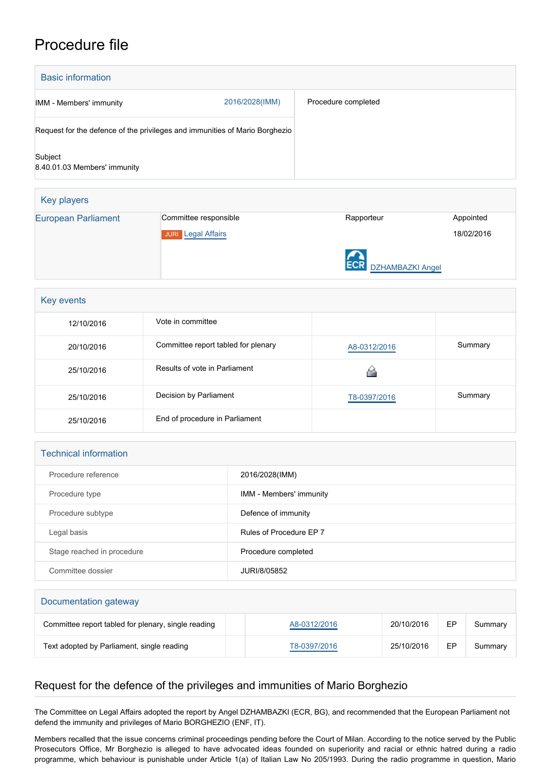## Procedure file

| <b>Basic information</b>                                                    |                       |                     |           |  |  |
|-----------------------------------------------------------------------------|-----------------------|---------------------|-----------|--|--|
| IMM - Members' immunity                                                     | 2016/2028(IMM)        | Procedure completed |           |  |  |
| Request for the defence of the privileges and immunities of Mario Borghezio |                       |                     |           |  |  |
| Subject<br>8.40.01.03 Members' immunity                                     |                       |                     |           |  |  |
| Key players                                                                 |                       |                     |           |  |  |
| <b>European Parliament</b>                                                  | Committee responsible | Rapporteur          | Appointed |  |  |

JURI [Legal Affairs](http://www.europarl.europa.eu/committees/en/juri/home.html)



18/02/2016

| Key events |                                     |              |         |  |  |
|------------|-------------------------------------|--------------|---------|--|--|
| 12/10/2016 | Vote in committee                   |              |         |  |  |
| 20/10/2016 | Committee report tabled for plenary | A8-0312/2016 | Summary |  |  |
| 25/10/2016 | Results of vote in Parliament       |              |         |  |  |
| 25/10/2016 | Decision by Parliament              | T8-0397/2016 | Summary |  |  |
| 25/10/2016 | End of procedure in Parliament      |              |         |  |  |

## Technical information

| Procedure reference        | 2016/2028(IMM)                 |
|----------------------------|--------------------------------|
| Procedure type             | <b>IMM - Members' immunity</b> |
| Procedure subtype          | Defence of immunity            |
| Legal basis                | Rules of Procedure EP 7        |
| Stage reached in procedure | Procedure completed            |
| Committee dossier          | JURI/8/05852                   |

| Documentation gateway                               |              |            |    |         |  |  |
|-----------------------------------------------------|--------------|------------|----|---------|--|--|
| Committee report tabled for plenary, single reading | A8-0312/2016 | 20/10/2016 | ЕP | Summary |  |  |
| Text adopted by Parliament, single reading          | T8-0397/2016 | 25/10/2016 | EP | Summary |  |  |

## Request for the defence of the privileges and immunities of Mario Borghezio

The Committee on Legal Affairs adopted the report by Angel DZHAMBAZKI (ECR, BG), and recommended that the European Parliament not defend the immunity and privileges of Mario BORGHEZIO (ENF, IT).

Members recalled that the issue concerns criminal proceedings pending before the Court of Milan. According to the notice served by the Public Prosecutors Office, Mr Borghezio is alleged to have advocated ideas founded on superiority and racial or ethnic hatred during a radio programme, which behaviour is punishable under Article 1(a) of Italian Law No 205/1993. During the radio programme in question, Mario